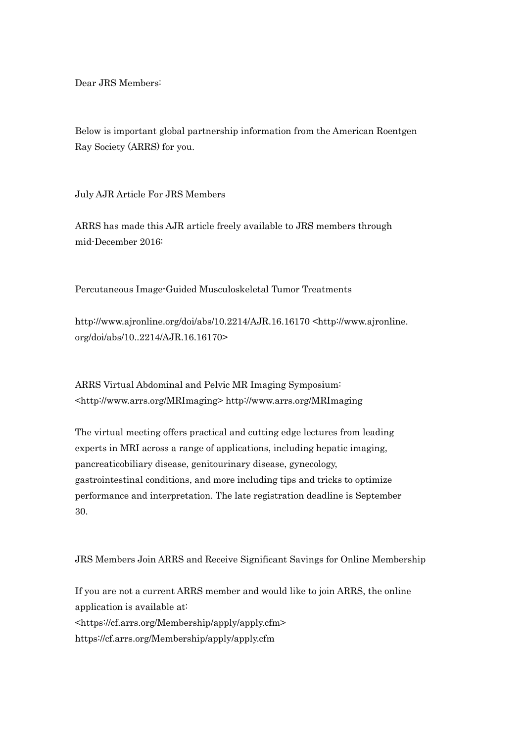Dear JRS Members:

Below is important global partnership information from the American Roentgen Ray Society (ARRS) for you.

July AJR Article For JRS Members

ARRS has made this AJR article freely available to JRS members through mid-December 2016:

Percutaneous Image-Guided Musculoskeletal Tumor Treatments

http://www.ajronline.org/doi/abs/10.2214/AJR.16.16170 <http://www.ajronline. org/doi/abs/10..2214/AJR.16.16170>

ARRS Virtual Abdominal and Pelvic MR Imaging Symposium: <http://www.arrs.org/MRImaging> http://www.arrs.org/MRImaging

The virtual meeting offers practical and cutting edge lectures from leading experts in MRI across a range of applications, including hepatic imaging, pancreaticobiliary disease, genitourinary disease, gynecology, gastrointestinal conditions, and more including tips and tricks to optimize performance and interpretation. The late registration deadline is September 30.

JRS Members Join ARRS and Receive Significant Savings for Online Membership

If you are not a current ARRS member and would like to join ARRS, the online application is available at: <https://cf.arrs.org/Membership/apply/apply.cfm> https://cf.arrs.org/Membership/apply/apply.cfm